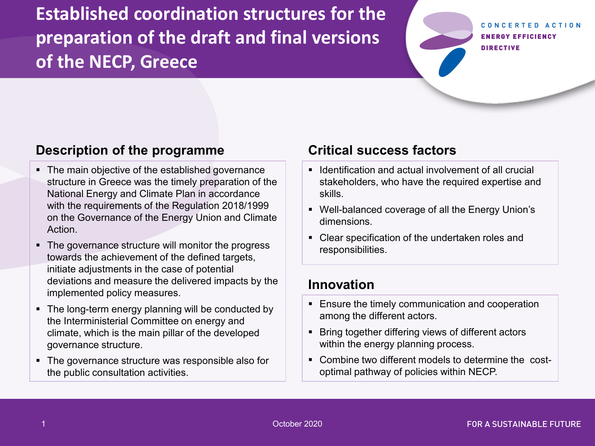**Established coordination structures for the preparation of the draft and final versions of the NECP, Greece**

#### CONCERTED ACTION **ENERGY EFFICIENCY DIRECTIVE**

### **Description of the programme**

- The main objective of the established governance structure in Greece was the timely preparation of the National Energy and Climate Plan in accordance with the requirements of the Regulation 2018/1999 on the Governance of the Energy Union and Climate Action.
- The governance structure will monitor the progress towards the achievement of the defined targets, initiate adjustments in the case of potential deviations and measure the delivered impacts by the implemented policy measures.
- The long-term energy planning will be conducted by the Interministerial Committee on energy and climate, which is the main pillar of the developed governance structure.
- The governance structure was responsible also for the public consultation activities.

#### **Critical success factors**

- Identification and actual involvement of all crucial stakeholders, who have the required expertise and skills.
- Well-balanced coverage of all the Energy Union's dimensions.
- Clear specification of the undertaken roles and responsibilities.

#### **Innovation**

- **Ensure the timely communication and cooperation** among the different actors.
- **Bring together differing views of different actors** within the energy planning process.
- Combine two different models to determine the costoptimal pathway of policies within NECP.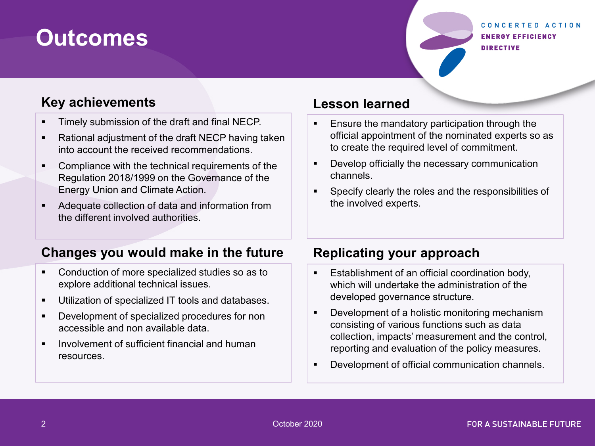# **Outcomes**

#### CONCERTED ACTION **ENERGY EFFICIENCY DIRECTIVE**

### **Key achievements**

- **Timely submission of the draft and final NECP.**
- **Rational adjustment of the draft NECP having taken** into account the received recommendations.
- **Compliance with the technical requirements of the** Regulation 2018/1999 on the Governance of the Energy Union and Climate Action.
- Adequate collection of data and information from the different involved authorities.

## **Changes you would make in the future**

- **Conduction of more specialized studies so as to** explore additional technical issues.
- **Utilization of specialized IT tools and databases.**
- **Development of specialized procedures for non** accessible and non available data.
- **IDED** Involvement of sufficient financial and human resources.

### **Lesson learned**

- **Ensure the mandatory participation through the** official appointment of the nominated experts so as to create the required level of commitment.
- **Develop officially the necessary communication** channels.
- Specify clearly the roles and the responsibilities of the involved experts.

## **Replicating your approach**

- **Establishment of an official coordination body,** which will undertake the administration of the developed governance structure.
- Development of a holistic monitoring mechanism consisting of various functions such as data collection, impacts' measurement and the control, reporting and evaluation of the policy measures.
- **Development of official communication channels.**